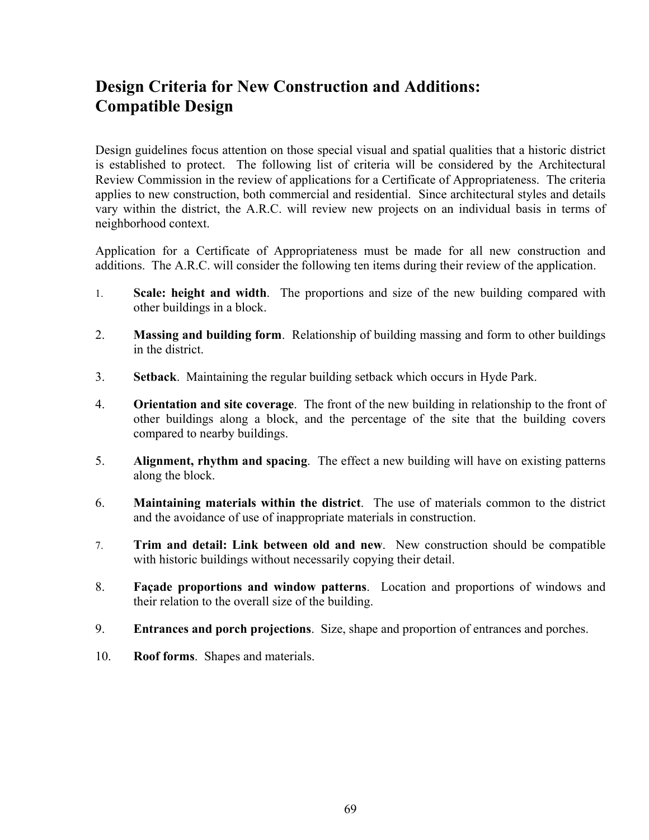## **Design Criteria for New Construction and Additions: Compatible Design**

Design guidelines focus attention on those special visual and spatial qualities that a historic district is established to protect. The following list of criteria will be considered by the Architectural Review Commission in the review of applications for a Certificate of Appropriateness. The criteria applies to new construction, both commercial and residential. Since architectural styles and details vary within the district, the A.R.C. will review new projects on an individual basis in terms of neighborhood context.

Application for a Certificate of Appropriateness must be made for all new construction and additions. The A.R.C. will consider the following ten items during their review of the application.

- 1. **Scale: height and width**. The proportions and size of the new building compared with other buildings in a block.
- 2. **Massing and building form**. Relationship of building massing and form to other buildings in the district.
- 3. **Setback**. Maintaining the regular building setback which occurs in Hyde Park.
- 4. **Orientation and site coverage**. The front of the new building in relationship to the front of other buildings along a block, and the percentage of the site that the building covers compared to nearby buildings.
- 5. **Alignment, rhythm and spacing**. The effect a new building will have on existing patterns along the block.
- 6. **Maintaining materials within the district**. The use of materials common to the district and the avoidance of use of inappropriate materials in construction.
- 7. **Trim and detail: Link between old and new**. New construction should be compatible with historic buildings without necessarily copying their detail.
- 8. **Façade proportions and window patterns**. Location and proportions of windows and their relation to the overall size of the building.
- 9. **Entrances and porch projections**. Size, shape and proportion of entrances and porches.
- 10. **Roof forms**. Shapes and materials.